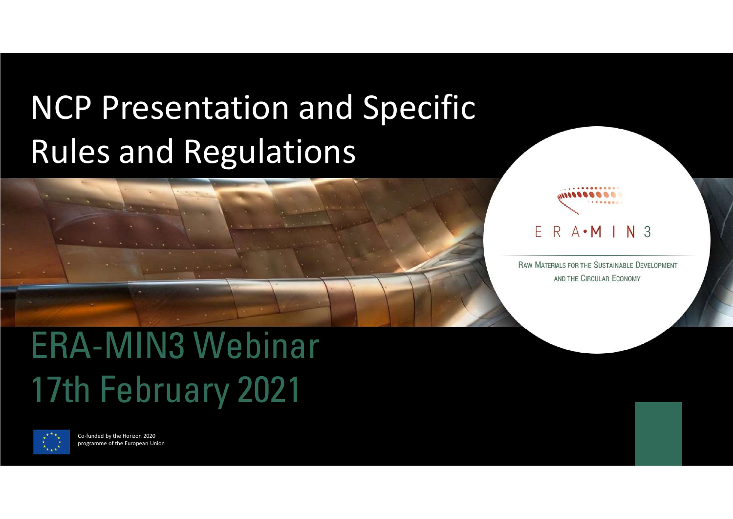# NCP Presentation and Specific Rules and Regulations





...........

AND THE CIRCULAR ECONOMY

# ERA-MIN3 Webinar



Co-funded by the Horizon 2020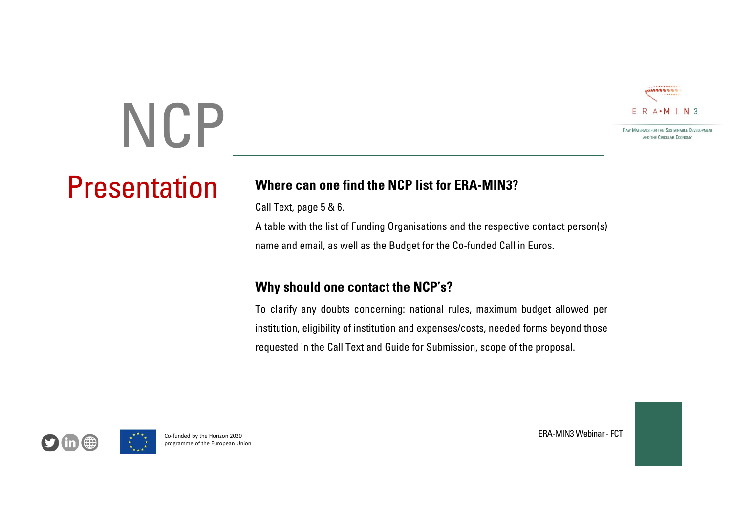

# **NCP**

Presentation

Where can one find the NCP list for ERA-MIN3?<br>
Solutions and the control of the State of Finding Organisations and the respective contact person(s)<br>
Call Text, page 5 & 6.<br>
A table with the list of Funding Organisations a Where can one find the NCP list for ERA-MIN3?<br>Call Text, page 5 & 6.<br>A table with the list of Funding Organisations and the respective contact person(s)<br>name and email, as well as the Budget for the Co-funded Call in Euros A the comparisation of Funding Organisations and the respective contact person(s)<br>
A table with the list of Funding Organisations and the respective contact person(s)<br>
A table with the list of Funding Organisations and th EER A-MIN3<br>
NAME CALL TO A THE SERVICE CALL TO A THE SERVICE CALL TO A THE CONDUCT OF THE CO-FUNDATION CONTROL TO A THE CO-FUNDATION CONTROL CALL TO A THE CO-FUNDATION OF THE CO-FUNDATION OF THE CO-FUNDATION CALL TO A THE

E R A-M I N 3<br>
Where can one find the NCP list for ERA-MIN3?<br>
Call Text, page 5 & 6.<br>
A table with the list of Funding Organisations and the respective contact person(s)<br>
name and email, as well as the Budget for the Co-fu To clarify any doubts concerning: national rules, maximum budget allowed per<br>
To clarify any doubts concerning: national rules, maximum budget allowed per<br>
To clarify any doubts concerning: national rules, maximum budget ERA-MIN3<br>
INVENTION CONTINUES TO THE SUPPOSE THE SUPPOSE THE SUPPOSE THE SUPPOSE THE SUPPOSE CALL THAT ARE OF SUPPOSE CALL THAT ARE OF THE DUPLE OF THE SUPPOSE CALL THAT ARE AN AND WE ARE A SUPPOSED TO A SUPPOSE THE SUPPOS **EXADERED CALL THE CALL CONDUCES THE CALL CONDUCES THE CALL CONDUCES TO A CALL TEXT AND SEPTEMBER CALL CONDUCES CONDUCES AND A CALL CONDUCES CONDUCES CONDUCES AND A CALL CONDUCES CONDUCES AND ARROW AND GUIDE CONDUCES AND G** ontact person(s)<br>ros.<br>get allowed per<br>ms beyond those<br>proposal.<br>ERA-MIN3 Webinar - FCT A table with the list of Funding Organisations and the<br>name and email, as well as the Budget for the Co-fun<br>Why should one contact the NCP's?<br>To clarify any doubts concerning: national rules, n<br>institution, eligibility of

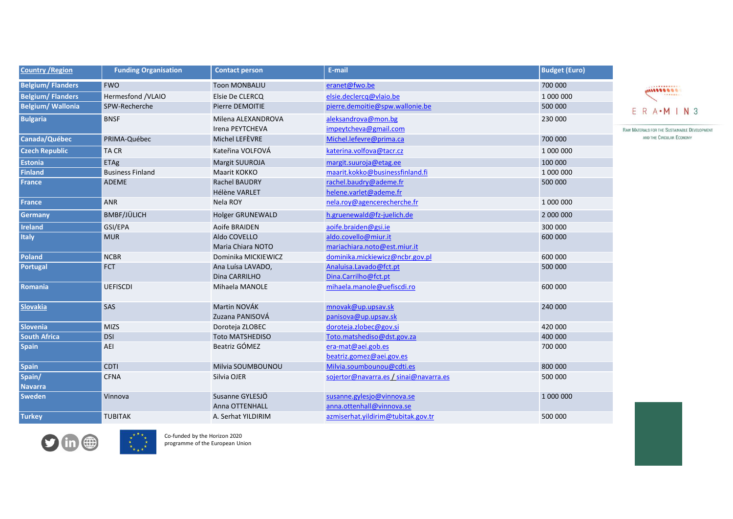| <b>Country / Region</b> | <b>Funding Organisation</b> | <b>Contact person</b>                    | E-mail                                                          | <b>Budget (Euro)</b> |
|-------------------------|-----------------------------|------------------------------------------|-----------------------------------------------------------------|----------------------|
| <b>Belgium/Flanders</b> | <b>FWO</b>                  | <b>Toon MONBALIU</b>                     | eranet@fwo.be                                                   | 700 000              |
| <b>Belgium/Flanders</b> | Hermesfond /VLAIO           | Elsie De CLERCQ                          | elsie.declercq@vlaio.be                                         | 1 000 000            |
| <b>Belgium/Wallonia</b> | SPW-Recherche               | Pierre DEMOITIE                          | pierre.demoitie@spw.wallonie.be                                 | 500 000              |
| <b>Bulgaria</b>         | <b>BNSF</b>                 | Milena ALEXANDROVA                       | aleksandrova@mon.bg                                             | 230 000              |
| Canada/Québec           | PRIMA-Québec                | Irena PEYTCHEVA<br>Michel LEFÈVRE        | impeytcheva@gmail.com<br>Michel.lefevre@prima.ca                | 700 000              |
| <b>Czech Republic</b>   | TA CR                       | Kateřina VOLFOVÁ                         | katerina.volfova@tacr.cz                                        | 1 000 000            |
| <b>Estonia</b>          | <b>ETAg</b>                 | Margit SUUROJA                           | margit.suuroja@etag.ee                                          | 100 000              |
| <b>Finland</b>          | <b>Business Finland</b>     | Maarit KOKKO                             | maarit.kokko@businessfinland.fi                                 | 1 000 000            |
| <b>France</b>           | ADEME                       | Rachel BAUDRY                            | rachel.baudry@ademe.fr                                          | 500 000              |
|                         |                             | Hélène VARLET                            | helene.varlet@ademe.fr                                          |                      |
| <b>France</b>           | <b>ANR</b>                  | Nela ROY                                 | nela.roy@agencerecherche.fr                                     | 1 000 000            |
| Germany                 | BMBF/JÜLICH                 | Holger GRUNEWALD                         | h.gruenewald@fz-juelich.de                                      | 2 000 000            |
| Ireland                 | GSI/EPA                     | Aoife BRAIDEN                            | aoife.braiden@gsi.ie                                            | 300 000              |
| Italy                   | <b>MUR</b>                  | Aldo COVELLO                             | aldo.covello@miur.it                                            | 600 000              |
| Poland                  | <b>NCBR</b>                 | Maria Chiara NOTO<br>Dominika MICKIEWICZ | mariachiara.noto@est.miur.it<br>dominika.mickiewicz@ncbr.gov.pl | 600 000              |
| Portugal                | FCT                         | Ana Luísa LAVADO,                        | Analuisa.Lavado@fct.pt                                          | 500 000              |
|                         |                             | Dina CARRILHO                            | Dina.Carrilho@fct.pt                                            |                      |
| Romania                 | <b>UEFISCDI</b>             | Mihaela MANOLE                           | mihaela.manole@uefiscdi.ro                                      | 600 000              |
|                         |                             |                                          |                                                                 |                      |
| <b>Slovakia</b>         | <b>SAS</b>                  | Martin NOVÁK                             | mnovak@up.upsav.sk                                              | 240 000              |
| Slovenia                | MIZS                        | Zuzana PANISOVÁ<br>Doroteja ZLOBEC       | panisova@up.upsav.sk<br>doroteja.zlobec@gov.si                  | 420 000              |
| <b>South Africa</b>     | DSI                         | Toto MATSHEDISO                          | Toto.matshediso@dst.gov.za                                      | 400 000              |
| <b>Spain</b>            | AEI                         | Beatriz GÓMEZ                            | era-mat@aei.gob.es                                              | 700 000              |
|                         |                             |                                          | beatriz.gomez@aei.gov.es                                        |                      |
| <b>Spain</b>            | <b>CDTI</b>                 | Milvia SOUMBOUNOU                        | Milvia.soumbounou@cdti.es                                       | 800 000              |
| Spain/                  | <b>CFNA</b>                 | Silvia OJER                              | sojertor@navarra.es / sinai@navarra.es                          | 500 000              |
| <b>Navarra</b>          |                             |                                          |                                                                 |                      |
| <b>Sweden</b>           | Vinnova                     | Susanne GYLESJÖ<br>Anna OTTENHALL        | susanne.gylesjo@vinnova.se<br>anna.ottenhall@vinnova.se         | 1 000 000            |
|                         |                             |                                          | azmiserhat.yildirim@tubitak.gov.tr                              |                      |

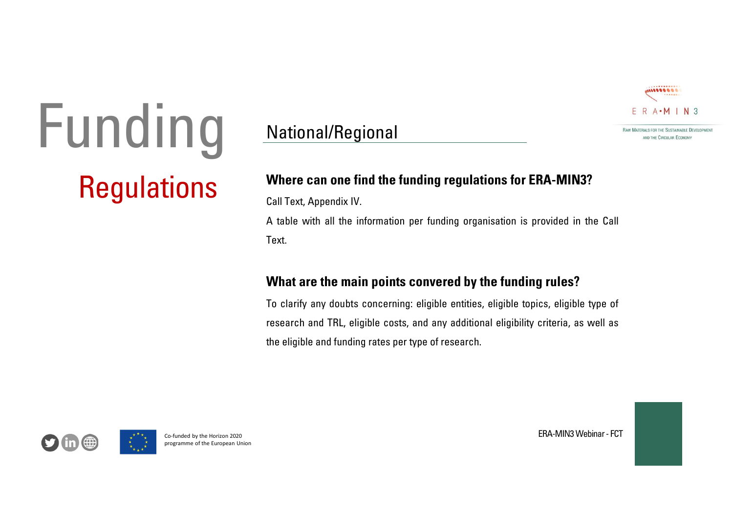

# Regulations Where can one find the funding regulations for ERA-MIN3? Funding

# National/Regional

Where can one find the funding regulations for ERA-MIN3?<br>Where can one find the funding regulations for ERA-MIN3?<br>Call Text, Appendix IV.<br>A table with all the information per funding organisation is provided in the Call E A table with all the information per funding organisation is provided in the Call<br>
Material the information per funding organisation is provided in the Call<br>
Text.<br>
A table with all the information per funding organisation Text.

rovided in the Call<br> **EXPLACES**<br>
CS, eligible type of<br>
criteria, as well as<br>
ERA-MIN3 Webinar - FCT<br>
ERA-MIN3 Webinar - FCT Frontier and the Finance Marine and the Mondual Port Lamanny orget<br>Text.<br> **What are the main points convered by**<br>
To clarify any doubts concerning: eligible entities<br>
research and TRL, eligible costs, and any addition<br>
the Where can one find the funding regulations for ERA-MIN3?<br>
Where can one find the funding regulations for ERA-MIN3?<br>
Call Text, Appendix IV.<br>
A table with all the information per funding organisation is provided in the Call To clarify any doubts concerning: eligible entities, eligible topics, eligible type of research and TRL, eligible costs, and any additional eligiblity criteria, as well as<br>the distribution of the funding regulations for ER **E.** R. A. M. I. N. 3<br> **Respectively and TRL, Appendix IV.**<br> **Call Text, Appendix IV.**<br> **A table with all the information per funding regulations for ERA-MIN3?**<br> **A table with all the information per funding organisation** The the can one find the funding regulations for ERA-MIN3?<br>
Call Text, Appendix IV.<br>
A table with all the information per funding organisation is provided in the Call<br>
Text.<br> **What are the main points convered by the fundi** 

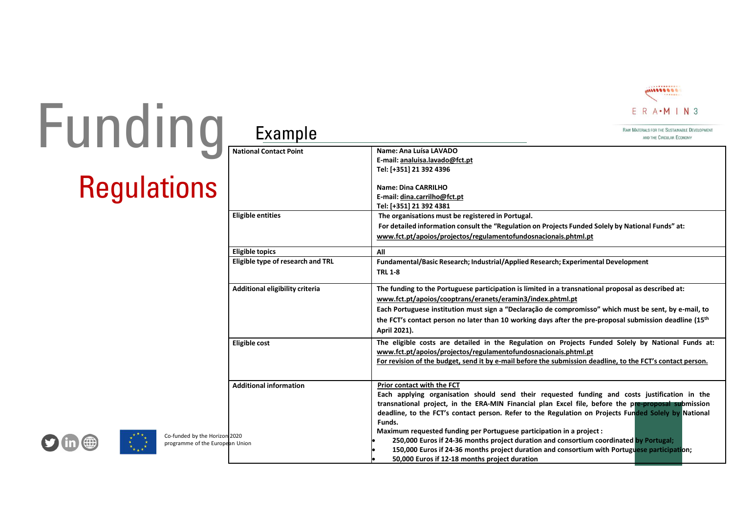

# **Regulations** Funding

|                                                                  |                                   |                                                                                                                                                                                                                                                                                                                                                                                                                                                                                                                                                                                                                         | . <b>.</b><br>000000000<br><br>$ER A \cdot M IN 3$                        |  |
|------------------------------------------------------------------|-----------------------------------|-------------------------------------------------------------------------------------------------------------------------------------------------------------------------------------------------------------------------------------------------------------------------------------------------------------------------------------------------------------------------------------------------------------------------------------------------------------------------------------------------------------------------------------------------------------------------------------------------------------------------|---------------------------------------------------------------------------|--|
|                                                                  | Example                           |                                                                                                                                                                                                                                                                                                                                                                                                                                                                                                                                                                                                                         | RAW MATERIALS FOR THE SUSTAINABLE DEVELOPMENT<br>AND THE CIRCULAR ECONOMY |  |
| <b>ng</b><br>tions                                               | <b>National Contact Point</b>     | Name: Ana Luísa LAVADO<br>E-mail: analuisa.lavado@fct.pt<br>Tel: [+351] 21 392 4396<br><b>Name: Dina CARRILHO</b><br>E-mail: dina.carrilho@fct.pt<br>Tel: [+351] 21 392 4381                                                                                                                                                                                                                                                                                                                                                                                                                                            |                                                                           |  |
|                                                                  | <b>Eligible entities</b>          | The organisations must be registered in Portugal.<br>For detailed information consult the "Regulation on Projects Funded Solely by National Funds" at:<br>www.fct.pt/apoios/projectos/regulamentofundosnacionais.phtml.pt                                                                                                                                                                                                                                                                                                                                                                                               |                                                                           |  |
|                                                                  | <b>Eligible topics</b>            | All                                                                                                                                                                                                                                                                                                                                                                                                                                                                                                                                                                                                                     |                                                                           |  |
|                                                                  | Eligible type of research and TRL | Fundamental/Basic Research; Industrial/Applied Research; Experimental Development<br><b>TRL 1-8</b>                                                                                                                                                                                                                                                                                                                                                                                                                                                                                                                     |                                                                           |  |
|                                                                  | Additional eligibility criteria   | The funding to the Portuguese participation is limited in a transnational proposal as described at:<br>www.fct.pt/apoios/cooptrans/eranets/eramin3/index.phtml.pt<br>Each Portuguese institution must sign a "Declaração de compromisso" which must be sent, by e-mail, to<br>the FCT's contact person no later than 10 working days after the pre-proposal submission deadline (15 <sup>th</sup><br>April 2021).                                                                                                                                                                                                       |                                                                           |  |
|                                                                  | <b>Eligible cost</b>              | The eligible costs are detailed in the Regulation on Projects Funded Solely by National Funds at:<br>www.fct.pt/apoios/projectos/regulamentofundosnacionais.phtml.pt<br>For revision of the budget, send it by e-mail before the submission deadline, to the FCT's contact person.                                                                                                                                                                                                                                                                                                                                      |                                                                           |  |
| Co-funded by the Horizon 2020<br>programme of the European Union | <b>Additional information</b>     | Prior contact with the FCT<br>Each applying organisation should send their requested funding and costs justification in the<br>transnational project, in the ERA-MIN Financial plan Excel file, before the pre-proposal submission<br>deadline, to the FCT's contact person. Refer to the Regulation on Projects Funded Solely by National<br>Funds.<br>Maximum requested funding per Portuguese participation in a project :<br>250,000 Euros if 24-36 months project duration and consortium coordinated by Portugal;<br>150,000 Euros if 24-36 months project duration and consortium with Portuguese participation; |                                                                           |  |

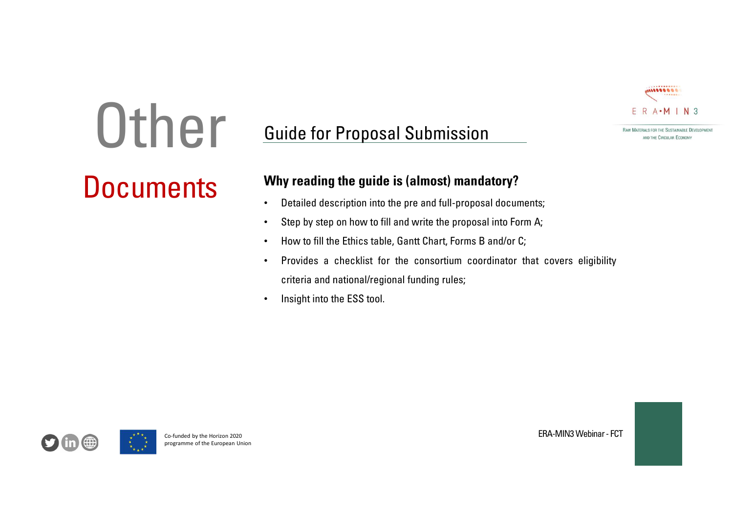

# **Other**

# Guide for Proposal Submission **manufous** FOR THE SUSTAINABLE DEVELOPMENT Guide for Proposal Submission<br>
Why reading the guide is (almost) mandatory?<br>
• Detailed description into the pre and full-proposal documents;<br>
• Step by step on how to fill and write the proposal documents;<br>
• How to fill

# **DOCUMENTS** Why reading the guide is (almost) mandatory?<br>
Detailed description into the pre and full-proposal documents;

- 
- 
- 
- k;<br>Covers eligibility<br>ERA-MIN3 Webinar FCT<br>ERA-MIN3 Webinar FCT be the projects of the Ethical School of the Ethical School of the Ethical School of the Ethical School of the European Union<br>
Provides a checklist for the consortium concriteria and national/regional funding rules;<br>
Insig **Guide for Proposal Submission**<br>
Why reading the guide is (almost) mandatory?<br>
• Detailed description into the pre and full-proposal documents;<br>
• Step by step on how to fill and write the proposal documents;<br>
• How to fi Critical and national/regional funding rules;<br>
Critical and national regional funding rules; • Step by step on how to fill and write the proposal documents;<br>
Critical and national write the proposal into form A;<br>
Critical
	-

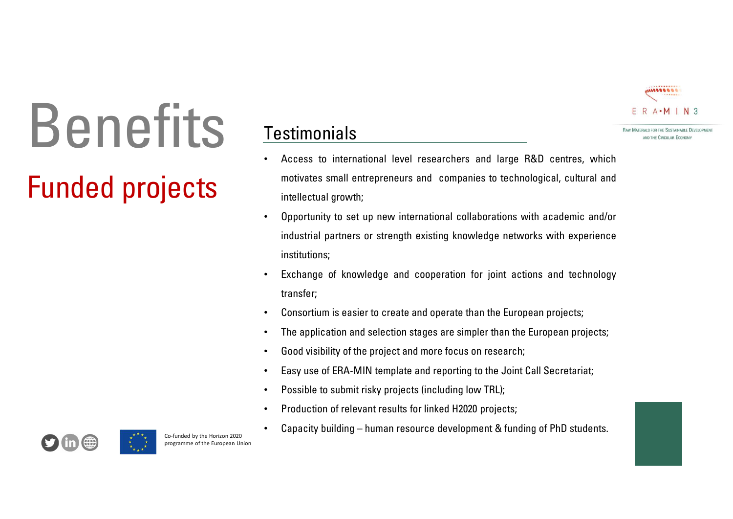

# Benefits<br>
Funded projects<br>
Funded projects<br>
Funded projects<br>
Funded projects<br>
Fundatial partners or strengt<br>
Fundatial partners or strengt<br>
Fundatial partners or strengt Benefits Testimonials<br>
. Access to international level researchers and large R&D centres, which

# **Testimonials**

- Festimonials<br>• Access to international level researchers and large R&D centres, which<br>• Access to international level researchers and large R&D centres, which<br>• Opportunity to set up new international collaborations with a **Stimonials**<br> **E.** R. A.M. I. N.3<br>
Access to international level researchers and large R&D centres, which<br>
motivates small entrepreneurs and companies to technological, cultural and<br>
intellectual growth;<br>
Opportunity to s
- industrial partners or strength existing knowled<br>institutions;<br>
 Exchange of knowledge and cooperation for<br>
transfer;<br>
 Consortium is easier to create and operate tha<br>
 The application and selection stages are simpl<br>
 **intellectual growth;**<br>
• Access to international level researchers and large R&D centres, which<br>
motivates small entrepreneurs and companies to technological, cultural and<br>
intellectual growth;<br>
• Opportunity to set up n **industrial partners or strength existing knowledge networks and technological, cultural and and intellectual growth;<br>
Access to international level researchers and large R&D centres, which<br>
industrial growth;<br>
Opportunit** institutions; • Exchange of knowledge and cooperation for joint actions and technology<br>
• Access to international level researchers and large R&D centres, which<br>
motivates small entrepreneurs and companies to technological, cultural and **Testimonials**<br>
ERACTION EXECUTION FOR EXAMPLE THE SALE INTERFERENCE CONTROLLED FOR THE SALE AND TRIMATE THE SALE CONTROLLED TRIMATE INTERFERENCE CONTROLLED THE SALE CONTROLLED SUPPOSE THE SALE CONTROLLED SUPPOSE THE SALE
	- transfer;
	-
	-
	-
	-
	-
	-